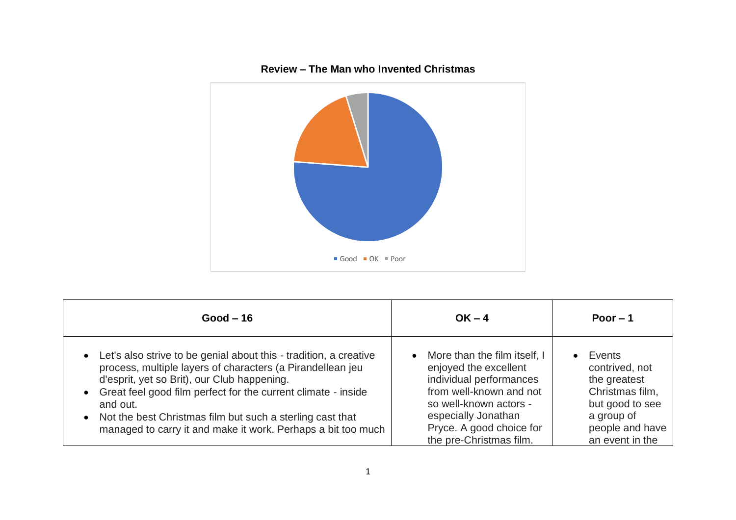

## **Good – 16 OK – 4 Poor – 1**  • Let's also strive to be genial about this - tradition, a creative process, multiple layers of characters (a Pirandellean jeu d'esprit, yet so Brit), our Club happening. • Great feel good film perfect for the current climate - inside and out. • Not the best Christmas film but such a sterling cast that managed to carry it and make it work. Perhaps a bit too much • More than the film itself, I enjoyed the excellent individual performances from well-known and not so well-known actors especially Jonathan Pryce. A good choice for the pre-Christmas film. • Events contrived, not the greatest Christmas film, but good to see a group of people and have an event in the